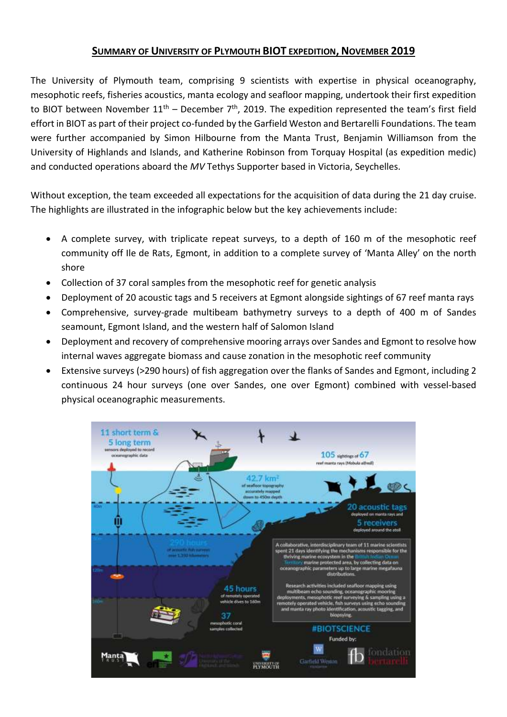## **SUMMARY OF UNIVERSITY OF PLYMOUTH BIOT EXPEDITION, NOVEMBER 2019**

The University of Plymouth team, comprising 9 scientists with expertise in physical oceanography, mesophotic reefs, fisheries acoustics, manta ecology and seafloor mapping, undertook their first expedition to BIOT between November  $11<sup>th</sup>$  – December 7<sup>th</sup>, 2019. The expedition represented the team's first field effort in BIOT as part of their project co-funded by the Garfield Weston and Bertarelli Foundations. The team were further accompanied by Simon Hilbourne from the Manta Trust, Benjamin Williamson from the University of Highlands and Islands, and Katherine Robinson from Torquay Hospital (as expedition medic) and conducted operations aboard the *MV* Tethys Supporter based in Victoria, Seychelles.

Without exception, the team exceeded all expectations for the acquisition of data during the 21 day cruise. The highlights are illustrated in the infographic below but the key achievements include:

- A complete survey, with triplicate repeat surveys, to a depth of 160 m of the mesophotic reef community off Ile de Rats, Egmont, in addition to a complete survey of 'Manta Alley' on the north shore
- Collection of 37 coral samples from the mesophotic reef for genetic analysis
- Deployment of 20 acoustic tags and 5 receivers at Egmont alongside sightings of 67 reef manta rays
- Comprehensive, survey-grade multibeam bathymetry surveys to a depth of 400 m of Sandes seamount, Egmont Island, and the western half of Salomon Island
- Deployment and recovery of comprehensive mooring arrays over Sandes and Egmont to resolve how internal waves aggregate biomass and cause zonation in the mesophotic reef community
- Extensive surveys (>290 hours) of fish aggregation over the flanks of Sandes and Egmont, including 2 continuous 24 hour surveys (one over Sandes, one over Egmont) combined with vessel-based physical oceanographic measurements.